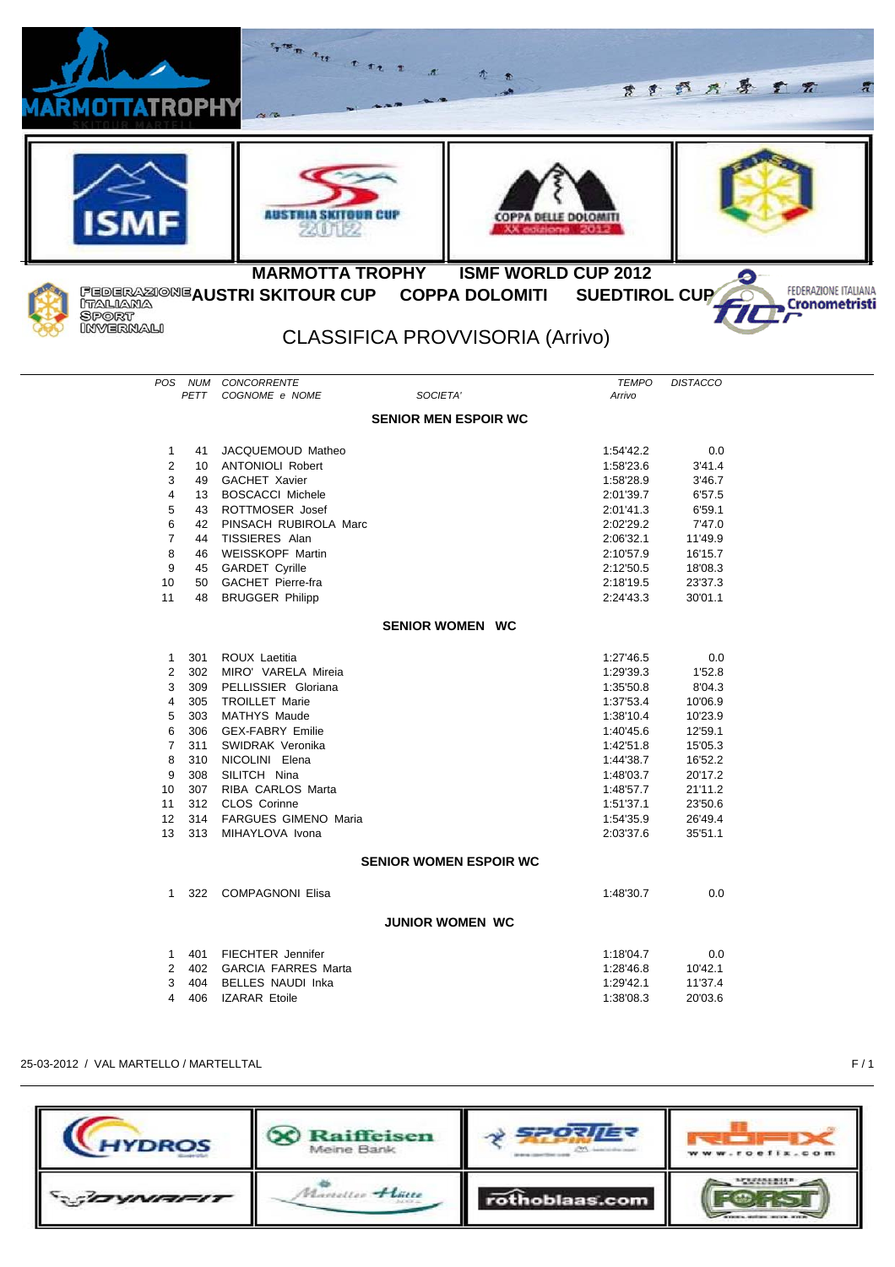| RMOTT <b>A</b> TROPHY | <b>Green the C. S.C. E. R.</b>                |                                        |                        | ます 野 片 身 ま 元       |                                       |
|-----------------------|-----------------------------------------------|----------------------------------------|------------------------|--------------------|---------------------------------------|
|                       | aus fiiia skii oon cu                         |                                        |                        |                    |                                       |
|                       | <b>MARMOTTA TROPHY</b>                        | <b>ISMF WORLD CUP 2012</b>             |                        |                    |                                       |
| ITALIANA              | FEDERAZIONE AUSTRI SKITOUR CUP COPPA DOLOMITI |                                        | SUEDTIROL CUP          |                    | FEDERAZIONE ITALIANA<br>Cronometristi |
| Sport<br>INVERNALI    |                                               | <b>CLASSIFICA PROVVISORIA (Arrivo)</b> |                        |                    |                                       |
| POS NUM               | CONCORRENTE                                   |                                        | <b>TEMPO</b>           | <b>DISTACCO</b>    |                                       |
| <b>PETT</b>           | COGNOME e NOME                                | SOCIETA'                               | Arrivo                 |                    |                                       |
|                       |                                               | <b>SENIOR MEN ESPOIR WC</b>            |                        |                    |                                       |
| 1<br>41               | JACQUEMOUD Matheo                             |                                        | 1:54'42.2              | 0.0                |                                       |
| 2                     | 10 ANTONIOLI Robert                           |                                        | 1:58'23.6              | 3'41.4             |                                       |
| 3                     | 49 GACHET Xavier                              |                                        | 1:58'28.9              | 3'46.7             |                                       |
| 4<br>13<br>5          | <b>BOSCACCI Michele</b><br>43 ROTTMOSER Josef |                                        | 2:01'39.7<br>2:01'41.3 | 6'57.5<br>6'59.1   |                                       |
| 6                     | 42 PINSACH RUBIROLA Marc                      |                                        | 2:02'29.2              | 7'47.0             |                                       |
| $\overline{7}$        | 44 TISSIERES Alan                             |                                        | 2:06'32.1              | 11'49.9            |                                       |
| 8                     | 46 WEISSKOPF Martin                           |                                        | 2:10'57.9              | 16'15.7            |                                       |
| 9                     | 45 GARDET Cyrille                             |                                        | 2:12'50.5              | 18'08.3            |                                       |
| 10<br>50              | <b>GACHET Pierre-fra</b>                      |                                        | 2:18'19.5              | 23'37.3            |                                       |
| 11<br>48              | <b>BRUGGER Philipp</b>                        |                                        | 2:24'43.3              | 30'01.1            |                                       |
|                       |                                               | <b>SENIOR WOMEN WC</b>                 |                        |                    |                                       |
| 301<br>1              | ROUX Laetitia                                 |                                        | 1:27'46.5              | 0.0                |                                       |
| 2<br>302              | MIRO' VARELA Mireia                           |                                        | 1:29'39.3              | 1'52.8             |                                       |
| 3<br>309              | PELLISSIER Gloriana                           |                                        | 1:35'50.8              | 8'04.3             |                                       |
| 4<br>305              | <b>TROILLET Marie</b>                         |                                        | 1:37'53.4              | 10'06.9            |                                       |
| 5<br>303              | <b>MATHYS Maude</b>                           |                                        | 1:38'10.4              | 10'23.9            |                                       |
| 6<br>306              | <b>GEX-FABRY Emilie</b>                       |                                        | 1:40'45.6              | 12'59.1            |                                       |
| 7<br>311              | SWIDRAK Veronika                              |                                        | 1:42'51.8              | 15'05.3            |                                       |
| 8<br>310<br>9<br>308  | NICOLINI Elena<br>SILITCH Nina                |                                        | 1:44'38.7<br>1:48'03.7 | 16'52.2<br>20'17.2 |                                       |
| 10<br>307             | RIBA CARLOS Marta                             |                                        | 1:48'57.7              | 21'11.2            |                                       |
| 312<br>11             | CLOS Corinne                                  |                                        | 1:51'37.1              | 23'50.6            |                                       |
| 12<br>314             | FARGUES GIMENO Maria                          |                                        | 1:54'35.9              | 26'49.4            |                                       |
| 13                    | 313 MIHAYLOVA Ivona                           |                                        | 2:03'37.6              | 35'51.1            |                                       |
|                       |                                               | <b>SENIOR WOMEN ESPOIR WC</b>          |                        |                    |                                       |
|                       | 1 322 COMPAGNONI Elisa                        |                                        |                        | 0.0                |                                       |
|                       |                                               | <b>JUNIOR WOMEN WC</b>                 | 1:48'30.7              |                    |                                       |
| 1 401                 | <b>FIECHTER Jennifer</b>                      |                                        | 1:18'04.7              | 0.0                |                                       |
| 2<br>402              | <b>GARCIA FARRES Marta</b>                    |                                        | 1:28'46.8              | 10'42.1            |                                       |
| 3<br>404              | <b>BELLES NAUDI Inka</b>                      |                                        | 1:29'42.1              | 11'37.4            |                                       |
| 406<br>4              | <b>IZARAR Etoile</b>                          |                                        | 1:38'08.3              | 20'03.6            |                                       |
|                       |                                               |                                        |                        |                    |                                       |

25-03-2012 / VAL MARTELLO / MARTELLTAL F / 1

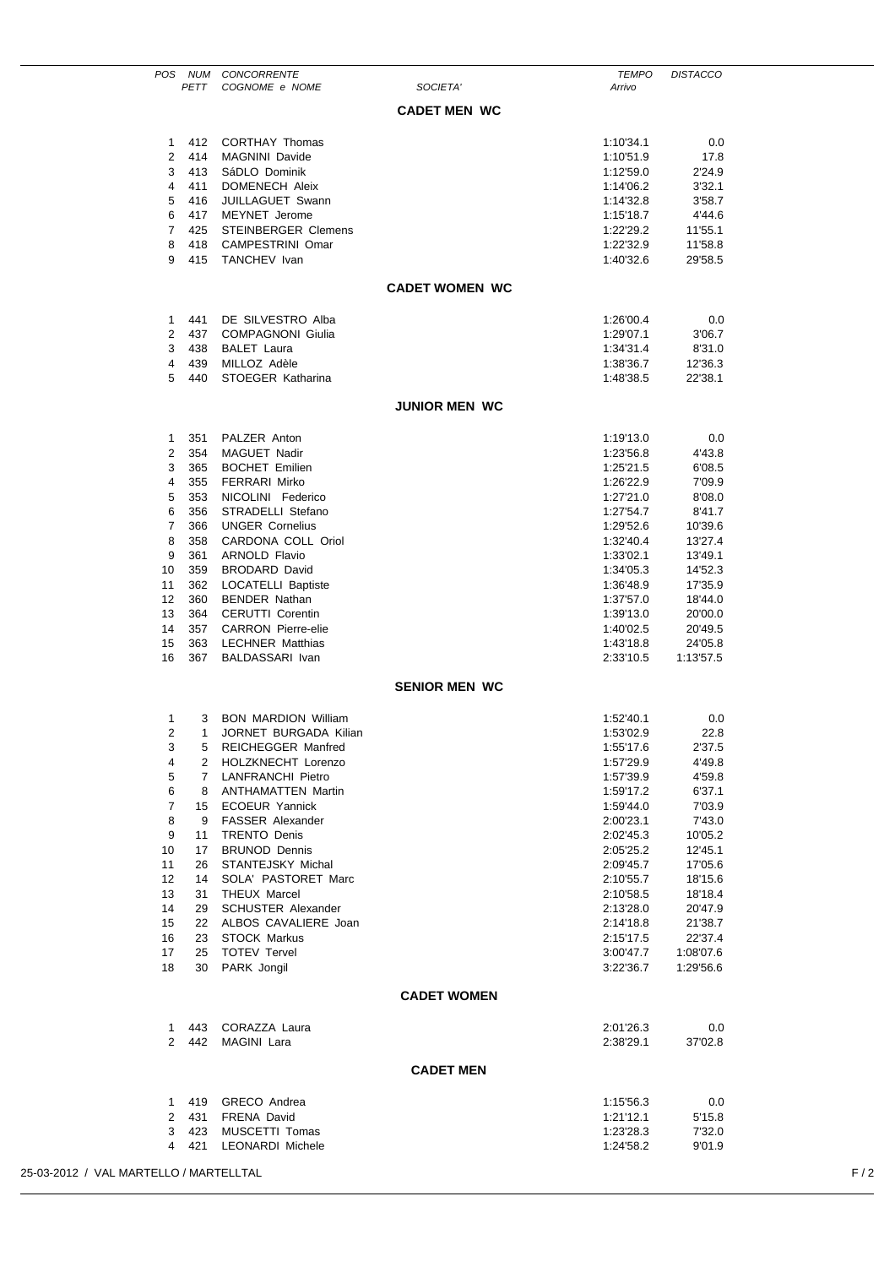|                                               |                   | POS NUM CONCORRENTE                             |                       | <b>TEMPO</b>           | <b>DISTACCO</b>      |  |
|-----------------------------------------------|-------------------|-------------------------------------------------|-----------------------|------------------------|----------------------|--|
|                                               | PETT              | COGNOME e NOME                                  | SOCIETA'              | Arrivo                 |                      |  |
|                                               |                   |                                                 | <b>CADET MEN WC</b>   |                        |                      |  |
|                                               |                   |                                                 |                       |                        |                      |  |
| $\mathbf{1}$                                  | 412<br>414        | <b>CORTHAY Thomas</b>                           |                       | 1:10'34.1              | 0.0                  |  |
| 2<br>3                                        | 413               | <b>MAGNINI Davide</b><br>SáDLO Dominik          |                       | 1:10'51.9<br>1:12'59.0 | 17.8<br>2'24.9       |  |
| 4                                             | 411               | DOMENECH Aleix                                  |                       | 1:14'06.2              | 3'32.1               |  |
| 5                                             | 416               | JUILLAGUET Swann                                |                       | 1:14'32.8              | 3'58.7               |  |
| 6                                             | 417               | <b>MEYNET</b> Jerome                            |                       | 1:15'18.7              | 4'44.6               |  |
| $\overline{7}$                                | 425               | <b>STEINBERGER Clemens</b>                      |                       | 1:22'29.2              | 11'55.1              |  |
| 8<br>9                                        | 418               | CAMPESTRINI Omar<br>415 TANCHEV Ivan            |                       | 1:22'32.9<br>1:40'32.6 | 11'58.8<br>29'58.5   |  |
|                                               |                   |                                                 |                       |                        |                      |  |
|                                               |                   |                                                 | <b>CADET WOMEN WC</b> |                        |                      |  |
| 1                                             | 441               | DE SILVESTRO Alba                               |                       | 1:26'00.4              | 0.0                  |  |
| 2                                             | 437               | <b>COMPAGNONI Giulia</b>                        |                       | 1:29'07.1              | 3'06.7               |  |
| 3                                             | 438               | <b>BALET Laura</b>                              |                       | 1:34'31.4              | 8'31.0               |  |
| 4<br>5                                        | 439<br>440        | MILLOZ Adèle<br>STOEGER Katharina               |                       | 1:38'36.7<br>1:48'38.5 | 12'36.3<br>22'38.1   |  |
|                                               |                   |                                                 | <b>JUNIOR MEN WC</b>  |                        |                      |  |
|                                               |                   |                                                 |                       |                        |                      |  |
| 1                                             | 351               | PALZER Anton                                    |                       | 1:19'13.0              | 0.0                  |  |
| 2<br>3                                        | 354<br>365        | <b>MAGUET Nadir</b><br><b>BOCHET Emilien</b>    |                       | 1:23'56.8<br>1:25'21.5 | 4'43.8<br>6'08.5     |  |
| 4                                             | 355               | <b>FERRARI Mirko</b>                            |                       | 1:26'22.9              | 7'09.9               |  |
| 5                                             | 353               | NICOLINI Federico                               |                       | 1:27'21.0              | 8'08.0               |  |
| 6                                             | 356               | STRADELLI Stefano                               |                       | 1:27'54.7              | 8'41.7               |  |
| 7                                             | 366               | <b>UNGER Cornelius</b>                          |                       | 1:29'52.6              | 10'39.6              |  |
| 8                                             | 358               | CARDONA COLL Oriol                              |                       | 1:32'40.4              | 13'27.4              |  |
| 9<br>10                                       | 361<br>359        | <b>ARNOLD Flavio</b><br><b>BRODARD David</b>    |                       | 1:33'02.1<br>1:34'05.3 | 13'49.1<br>14'52.3   |  |
| 11                                            | 362               | <b>LOCATELLI Baptiste</b>                       |                       | 1:36'48.9              | 17'35.9              |  |
| 12                                            | 360               | <b>BENDER Nathan</b>                            |                       | 1:37'57.0              | 18'44.0              |  |
| 13                                            | 364               | <b>CERUTTI Corentin</b>                         |                       | 1:39'13.0              | 20'00.0              |  |
| 14                                            | 357               | <b>CARRON Pierre-elie</b>                       |                       | 1:40'02.5              | 20'49.5              |  |
| 15                                            | 363               | <b>LECHNER Matthias</b>                         |                       | 1:43'18.8              | 24'05.8              |  |
| 16                                            | 367               | BALDASSARI Ivan                                 |                       | 2:33'10.5              | 1:13'57.5            |  |
|                                               |                   |                                                 | <b>SENIOR MEN WC</b>  |                        |                      |  |
| 1                                             | 3                 | <b>BON MARDION William</b>                      |                       | 1:52'40.1              | 0.0                  |  |
| 2                                             | $\mathbf{1}$      | JORNET BURGADA Kilian                           |                       | 1:53'02.9              | 22.8                 |  |
| 3<br>4                                        | 5<br>$\mathbf{2}$ | <b>REICHEGGER Manfred</b><br>HOLZKNECHT Lorenzo |                       | 1:55'17.6<br>1:57'29.9 | 2'37.5<br>4'49.8     |  |
| 5                                             | 7                 | <b>LANFRANCHI Pietro</b>                        |                       | 1:57'39.9              | 4'59.8               |  |
| 6                                             | 8                 | ANTHAMATTEN Martin                              |                       | 1:59'17.2              | 6'37.1               |  |
| 7                                             | 15                | <b>ECOEUR Yannick</b>                           |                       | 1:59'44.0              | 7'03.9               |  |
| 8                                             |                   | 9 FASSER Alexander                              |                       | 2:00'23.1              | 7'43.0               |  |
| 9                                             | 11                | <b>TRENTO Denis</b>                             |                       | 2:02'45.3              | 10'05.2              |  |
| 10<br>11                                      | 17<br>26          | <b>BRUNOD Dennis</b><br>STANTEJSKY Michal       |                       | 2:05'25.2<br>2:09'45.7 | 12'45.1<br>17'05.6   |  |
| 12                                            | 14                | SOLA' PASTORET Marc                             |                       | 2:10'55.7              | 18'15.6              |  |
| 13                                            | 31                | THEUX Marcel                                    |                       | 2:10'58.5              | 18'18.4              |  |
| 14                                            | 29                | <b>SCHUSTER Alexander</b>                       |                       | 2:13'28.0              | 20'47.9              |  |
| 15                                            | 22                | ALBOS CAVALIERE Joan                            |                       | 2:14'18.8              | 21'38.7              |  |
| 16<br>17                                      | 23<br>25          | <b>STOCK Markus</b><br><b>TOTEV Tervel</b>      |                       | 2:15'17.5<br>3:00'47.7 | 22'37.4<br>1:08'07.6 |  |
| 18                                            | 30                | PARK Jongil                                     |                       | 3:22'36.7              | 1:29'56.6            |  |
|                                               |                   |                                                 | <b>CADET WOMEN</b>    |                        |                      |  |
| $\mathbf{1}$                                  |                   | 443 CORAZZA Laura                               |                       | 2:01'26.3              | 0.0                  |  |
|                                               | 2 442             | MAGINI Lara                                     |                       | 2:38'29.1              | 37'02.8              |  |
|                                               |                   |                                                 | <b>CADET MEN</b>      |                        |                      |  |
| $\mathbf{1}$                                  | 419               | GRECO Andrea                                    |                       | 1:15'56.3              | 0.0                  |  |
| $\overline{2}$                                | 431               | <b>FRENA David</b>                              |                       | 1:21'12.1              | 5'15.8               |  |
| 3                                             | 423<br>4 421      | MUSCETTI Tomas<br><b>LEONARDI Michele</b>       |                       | 1:23'28.3<br>1:24'58.2 | 7'32.0<br>9'01.9     |  |
|                                               |                   |                                                 |                       |                        |                      |  |
| F/2<br>25-03-2012 / VAL MARTELLO / MARTELLTAL |                   |                                                 |                       |                        |                      |  |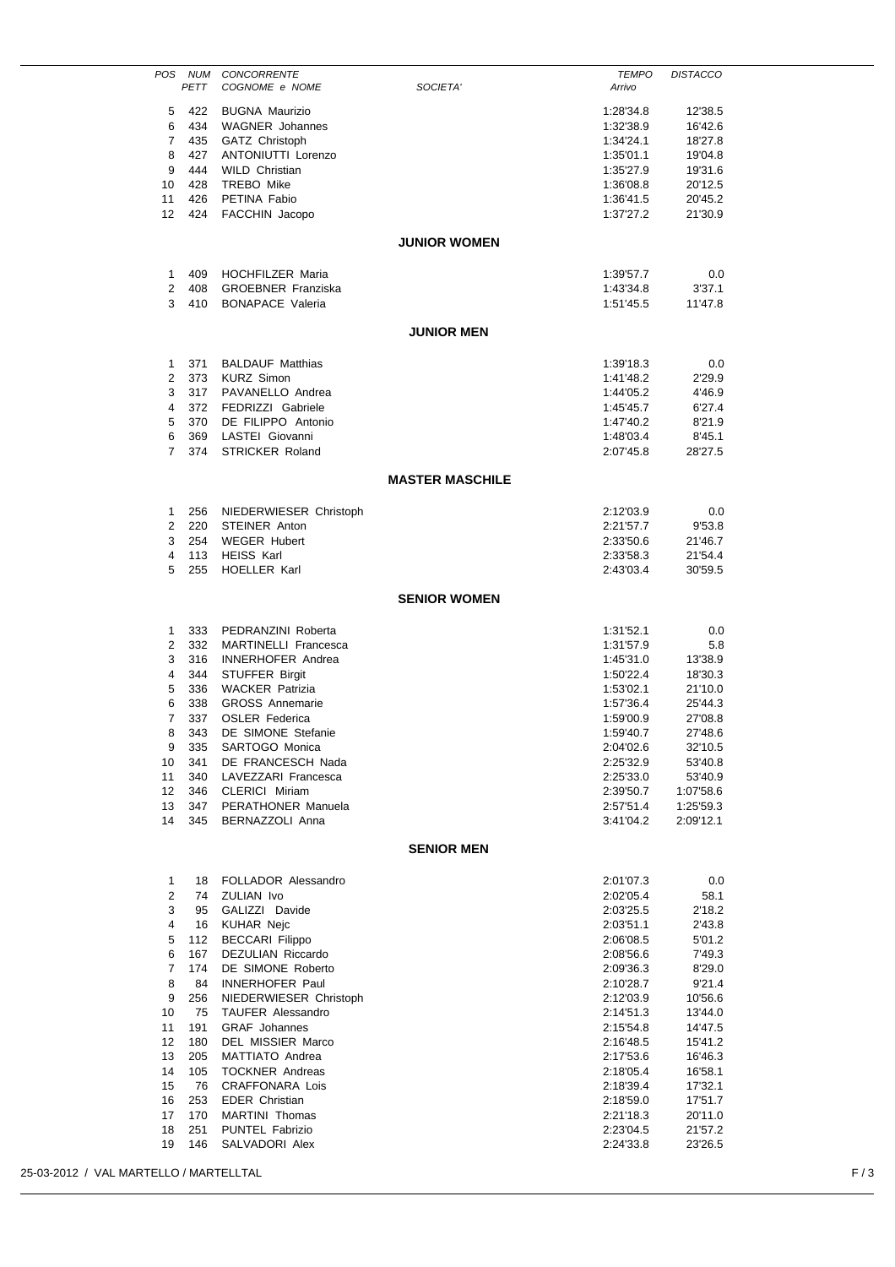| POS                                    | PETT       | NUM CONCORRENTE<br>COGNOME e NOME                  | SOCIETA'               | <b>TEMPO</b><br>Arrivo | <b>DISTACCO</b>        |     |
|----------------------------------------|------------|----------------------------------------------------|------------------------|------------------------|------------------------|-----|
|                                        |            |                                                    |                        |                        |                        |     |
| 5                                      | 422<br>434 | <b>BUGNA Maurizio</b><br><b>WAGNER</b> Johannes    |                        | 1:28'34.8<br>1:32'38.9 | 12'38.5                |     |
| 6<br>7                                 | 435        | GATZ Christoph                                     |                        | 1:34'24.1              | 16'42.6<br>18'27.8     |     |
| 8                                      | 427        | ANTONIUTTI Lorenzo                                 |                        | 1:35'01.1              | 19'04.8                |     |
| 9                                      | 444        | <b>WILD Christian</b>                              |                        | 1:35'27.9              | 19'31.6                |     |
| 10                                     | 428        | TREBO Mike                                         |                        | 1:36'08.8              | 20'12.5                |     |
| 11                                     | 426        | PETINA Fabio                                       |                        | 1:36'41.5              | 20'45.2                |     |
| 12                                     | 424        | FACCHIN Jacopo                                     |                        | 1:37'27.2              | 21'30.9                |     |
|                                        |            |                                                    |                        |                        |                        |     |
|                                        |            |                                                    | <b>JUNIOR WOMEN</b>    |                        |                        |     |
| 1                                      | 409        | <b>HOCHFILZER Maria</b>                            |                        | 1:39'57.7              | 0.0                    |     |
| 2                                      | 408        | <b>GROEBNER Franziska</b>                          |                        | 1:43'34.8              | 3'37.1                 |     |
| 3                                      | 410        | <b>BONAPACE Valeria</b>                            |                        | 1:51'45.5              | 11'47.8                |     |
|                                        |            |                                                    | <b>JUNIOR MEN</b>      |                        |                        |     |
|                                        |            |                                                    |                        |                        |                        |     |
| 1                                      | 371        | <b>BALDAUF Matthias</b>                            |                        | 1:39'18.3              | 0.0                    |     |
| 2                                      | 373        | <b>KURZ Simon</b>                                  |                        | 1:41'48.2              | 2'29.9                 |     |
| 3                                      | 317        | PAVANELLO Andrea                                   |                        | 1:44'05.2              | 4'46.9                 |     |
| 4                                      | 372        | FEDRIZZI Gabriele                                  |                        | 1:45'45.7              | 6'27.4                 |     |
| 5                                      | 370        | DE FILIPPO Antonio                                 |                        | 1:47'40.2              | 8'21.9                 |     |
| 6                                      | 369        | LASTEI Giovanni                                    |                        | 1:48'03.4              | 8'45.1                 |     |
| $\overline{7}$                         | 374        | <b>STRICKER Roland</b>                             |                        | 2:07'45.8              | 28'27.5                |     |
|                                        |            |                                                    | <b>MASTER MASCHILE</b> |                        |                        |     |
| 1                                      | 256        | NIEDERWIESER Christoph                             |                        | 2:12'03.9              | 0.0                    |     |
| 2                                      | 220        | STEINER Anton                                      |                        | 2:21'57.7              | 9'53.8                 |     |
| 3                                      | 254        | <b>WEGER Hubert</b>                                |                        | 2:33'50.6              | 21'46.7                |     |
| 4                                      | 113        | <b>HEISS Karl</b>                                  |                        | 2:33'58.3              | 21'54.4                |     |
| 5                                      | 255        | <b>HOELLER Karl</b>                                |                        | 2:43'03.4              | 30'59.5                |     |
|                                        |            |                                                    |                        |                        |                        |     |
|                                        |            |                                                    | <b>SENIOR WOMEN</b>    |                        |                        |     |
| 1                                      | 333        | PEDRANZINI Roberta                                 |                        | 1:31'52.1              | 0.0                    |     |
| 2                                      | 332        | MARTINELLI Francesca                               |                        | 1:31'57.9              | 5.8                    |     |
| 3                                      | 316        | <b>INNERHOFER Andrea</b>                           |                        | 1:45'31.0              | 13'38.9                |     |
| 4                                      | 344        | STUFFER Birgit                                     |                        | 1:50'22.4              | 18'30.3                |     |
| 5                                      | 336        | <b>WACKER Patrizia</b>                             |                        | 1:53'02.1              | 21'10.0                |     |
| 6                                      | 338        | <b>GROSS Annemarie</b>                             |                        | 1:57'36.4              | 25'44.3                |     |
| 7                                      | 337        | <b>OSLER</b> Federica                              |                        | 1:59'00.9              | 27'08.8                |     |
| 8                                      | 343        | DE SIMONE Stefanie                                 |                        | 1:59'40.7              | 27'48.6                |     |
| 9                                      | 335        | SARTOGO Monica                                     |                        | 2:04'02.6              | 32'10.5                |     |
| 10                                     | 341        | DE FRANCESCH Nada                                  |                        | 2:25'32.9              | 53'40.8                |     |
| 11                                     | 340        | LAVEZZARI Francesca                                |                        | 2:25'33.0              | 53'40.9                |     |
| 12<br>13                               | 346<br>347 | CLERICI Miriam<br>PERATHONER Manuela               |                        | 2:39'50.7<br>2:57'51.4 | 1:07'58.6<br>1:25'59.3 |     |
| 14                                     | 345        | BERNAZZOLI Anna                                    |                        | 3:41'04.2              | 2:09'12.1              |     |
|                                        |            |                                                    |                        |                        |                        |     |
|                                        |            |                                                    | <b>SENIOR MEN</b>      |                        |                        |     |
| $\mathbf{1}$                           | 18         | FOLLADOR Alessandro                                |                        | 2:01'07.3              | 0.0                    |     |
| 2                                      | 74         | ZULIAN Ivo                                         |                        | 2:02'05.4              | 58.1                   |     |
| 3                                      | 95         | GALIZZI Davide                                     |                        | 2:03'25.5              | 2'18.2                 |     |
| 4                                      | 16         | <b>KUHAR Nejc</b>                                  |                        | 2:03'51.1              | 2'43.8                 |     |
| 5                                      | 112        | <b>BECCARI Filippo</b>                             |                        | 2:06'08.5              | 5'01.2                 |     |
| 6                                      | 167        | DEZULIAN Riccardo                                  |                        | 2:08'56.6              | 7'49.3                 |     |
| 7                                      | 174        | DE SIMONE Roberto                                  |                        | 2:09'36.3              | 8'29.0                 |     |
| 8                                      | 84         | <b>INNERHOFER Paul</b>                             |                        | 2:10'28.7              | 9'21.4                 |     |
| 9<br>10                                | 256<br>75  | NIEDERWIESER Christoph<br><b>TAUFER Alessandro</b> |                        | 2:12'03.9              | 10'56.6                |     |
| 11                                     | 191        | <b>GRAF</b> Johannes                               |                        | 2:14'51.3<br>2:15'54.8 | 13'44.0<br>14'47.5     |     |
| $12 \overline{ }$                      | 180        | DEL MISSIER Marco                                  |                        | 2:16'48.5              | 15'41.2                |     |
| 13                                     | 205        | MATTIATO Andrea                                    |                        | 2:17'53.6              | 16'46.3                |     |
| 14                                     | 105        | <b>TOCKNER Andreas</b>                             |                        | 2:18'05.4              | 16'58.1                |     |
| 15                                     | 76         | <b>CRAFFONARA Lois</b>                             |                        | 2:18'39.4              | 17'32.1                |     |
| 16                                     | 253        | <b>EDER Christian</b>                              |                        | 2:18'59.0              | 17'51.7                |     |
| 17                                     | 170        | MARTINI Thomas                                     |                        | 2:21'18.3              | 20'11.0                |     |
| 18                                     | 251        | PUNTEL Fabrizio                                    |                        | 2:23'04.5              | 21'57.2                |     |
| 19                                     | 146        | SALVADORI Alex                                     |                        | 2:24'33.8              | 23'26.5                |     |
| 25-03-2012 / VAL MARTELLO / MARTELLTAL |            |                                                    |                        |                        |                        | F/3 |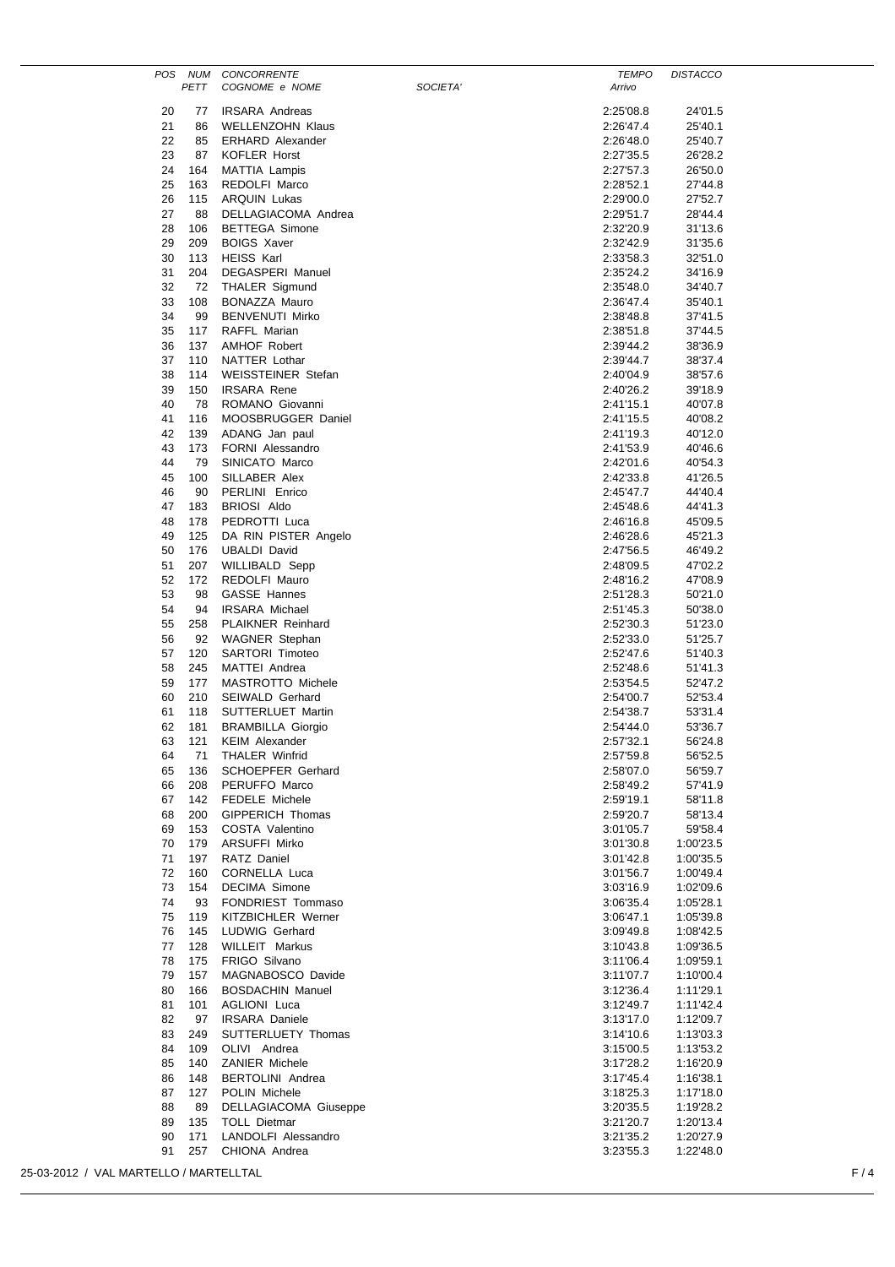| POS                                    | NUM        | <b>CONCORRENTE</b>                               |                        | <b>TEMPO</b> | <b>DISTACCO</b>        |
|----------------------------------------|------------|--------------------------------------------------|------------------------|--------------|------------------------|
|                                        | PETT       | COGNOME e NOME                                   | SOCIETA'<br>Arrivo     |              |                        |
| 20                                     | 77         | <b>IRSARA Andreas</b>                            | 2:25'08.8              |              | 24'01.5                |
| 21                                     | 86         | <b>WELLENZOHN Klaus</b>                          | 2:26'47.4              |              | 25'40.1                |
| 22                                     | 85         | <b>ERHARD Alexander</b>                          | 2:26'48.0              |              | 25'40.7                |
| 23                                     | 87         | <b>KOFLER Horst</b>                              | 2:27'35.5              |              | 26'28.2                |
| 24<br>25                               | 164<br>163 | MATTIA Lampis<br>REDOLFI Marco                   | 2:27'57.3<br>2:28'52.1 |              | 26'50.0<br>27'44.8     |
| 26                                     | 115        | <b>ARQUIN Lukas</b>                              | 2:29'00.0              |              | 27'52.7                |
| 27                                     | 88         | DELLAGIACOMA Andrea                              | 2:29'51.7              |              | 28'44.4                |
| 28                                     | 106        | <b>BETTEGA Simone</b>                            | 2:32'20.9              |              | 31'13.6                |
| 29                                     | 209        | <b>BOIGS Xaver</b>                               | 2:32'42.9              |              | 31'35.6                |
| 30                                     | 113        | <b>HEISS Karl</b>                                | 2:33'58.3              |              | 32'51.0                |
| 31<br>32                               | 204<br>72  | <b>DEGASPERI Manuel</b><br><b>THALER Sigmund</b> | 2:35'24.2<br>2:35'48.0 |              | 34'16.9<br>34'40.7     |
| 33                                     | 108        | <b>BONAZZA Mauro</b>                             | 2:36'47.4              |              | 35'40.1                |
| 34                                     | 99         | <b>BENVENUTI Mirko</b>                           | 2:38'48.8              |              | 37'41.5                |
| 35                                     | 117        | RAFFL Marian                                     | 2:38'51.8              |              | 37'44.5                |
| 36                                     | 137        | <b>AMHOF Robert</b>                              | 2:39'44.2              |              | 38'36.9                |
| 37                                     | 110        | NATTER Lothar                                    | 2:39'44.7              |              | 38'37.4                |
| 38                                     | 114        | <b>WEISSTEINER Stefan</b>                        | 2:40'04.9              |              | 38'57.6                |
| 39                                     | 150        | <b>IRSARA Rene</b>                               | 2:40'26.2              |              | 39'18.9                |
| 40<br>41                               | 78<br>116  | ROMANO Giovanni<br>MOOSBRUGGER Daniel            | 2:41'15.1<br>2:41'15.5 |              | 40'07.8<br>40'08.2     |
| 42                                     | 139        | ADANG Jan paul                                   | 2:41'19.3              |              | 40'12.0                |
| 43                                     | 173        | FORNI Alessandro                                 | 2:41'53.9              |              | 40'46.6                |
| 44                                     | 79         | SINICATO Marco                                   | 2:42'01.6              |              | 40'54.3                |
| 45                                     | 100        | SILLABER Alex                                    | 2:42'33.8              |              | 41'26.5                |
| 46                                     | 90         | PERLINI Enrico                                   | 2:45'47.7              |              | 44'40.4                |
| 47                                     | 183        | <b>BRIOSI Aldo</b>                               | 2:45'48.6              |              | 44'41.3                |
| 48                                     | 178        | PEDROTTI Luca                                    | 2:46'16.8              |              | 45'09.5                |
| 49<br>50                               | 125<br>176 | DA RIN PISTER Angelo<br><b>UBALDI David</b>      | 2:46'28.6<br>2:47'56.5 |              | 45'21.3<br>46'49.2     |
| 51                                     | 207        | WILLIBALD Sepp                                   | 2:48'09.5              |              | 47'02.2                |
| 52                                     | 172        | REDOLFI Mauro                                    | 2:48'16.2              |              | 47'08.9                |
| 53                                     | 98         | <b>GASSE Hannes</b>                              | 2:51'28.3              |              | 50'21.0                |
| 54                                     | 94         | <b>IRSARA Michael</b>                            | 2:51'45.3              |              | 50'38.0                |
| 55                                     | 258        | <b>PLAIKNER Reinhard</b>                         | 2:52'30.3              |              | 51'23.0                |
| 56                                     | 92         | <b>WAGNER</b> Stephan                            | 2:52'33.0              |              | 51'25.7                |
| 57                                     | 120<br>245 | <b>SARTORI Timoteo</b><br>MATTEI Andrea          | 2:52'47.6              |              | 51'40.3                |
| 58<br>59                               | 177        | <b>MASTROTTO Michele</b>                         | 2:52'48.6<br>2:53'54.5 |              | 51'41.3<br>52'47.2     |
| 60                                     | 210        | SEIWALD Gerhard                                  | 2:54'00.7              |              | 52'53.4                |
| 61                                     | 118        | SUTTERLUET Martin                                | 2:54'38.7              |              | 53'31.4                |
| 62                                     | 181        | <b>BRAMBILLA Giorgio</b>                         | 2:54'44.0              |              | 53'36.7                |
| 63                                     | 121        | KEIM Alexander                                   | 2:57'32.1              |              | 56'24.8                |
| 64                                     | 71         | THALER Winfrid                                   | 2:57'59.8              |              | 56'52.5                |
| 65                                     | 136        | SCHOEPFER Gerhard                                | 2:58'07.0              |              | 56'59.7                |
| 66<br>67                               | 208<br>142 | PERUFFO Marco<br><b>FEDELE Michele</b>           | 2:58'49.2<br>2:59'19.1 |              | 57'41.9                |
| 68                                     | 200        | GIPPERICH Thomas                                 | 2:59'20.7              |              | 58'11.8<br>58'13.4     |
| 69                                     | 153        | COSTA Valentino                                  | 3:01'05.7              |              | 59'58.4                |
| 70                                     | 179        | ARSUFFI Mirko                                    | 3:01'30.8              |              | 1:00'23.5              |
| 71                                     | 197        | RATZ Daniel                                      | 3:01'42.8              |              | 1:00'35.5              |
| 72                                     | 160        | <b>CORNELLA Luca</b>                             | 3:01'56.7              |              | 1:00'49.4              |
| 73                                     | 154        | <b>DECIMA Simone</b>                             | 3:03'16.9              |              | 1:02'09.6              |
| 74                                     | 93         | FONDRIEST Tommaso                                | 3:06'35.4              |              | 1:05'28.1              |
| 75<br>76                               | 119<br>145 | KITZBICHLER Werner<br>LUDWIG Gerhard             | 3:06'47.1<br>3:09'49.8 |              | 1:05'39.8<br>1:08'42.5 |
| 77                                     | 128        | <b>WILLEIT Markus</b>                            | 3:10'43.8              |              | 1:09'36.5              |
| 78                                     | 175        | FRIGO Silvano                                    | 3:11'06.4              |              | 1:09'59.1              |
| 79                                     | 157        | MAGNABOSCO Davide                                | 3:11'07.7              |              | 1:10'00.4              |
| 80                                     | 166        | <b>BOSDACHIN Manuel</b>                          | 3:12'36.4              |              | 1:11'29.1              |
| 81                                     | 101        | <b>AGLIONI</b> Luca                              | 3:12'49.7              |              | 1:11'42.4              |
| 82                                     | 97         | <b>IRSARA Daniele</b>                            | 3:13'17.0              |              | 1:12'09.7              |
| 83                                     | 249        | SUTTERLUETY Thomas                               | 3:14'10.6              |              | 1:13'03.3              |
| 84<br>85                               | 109<br>140 | OLIVI Andrea<br><b>ZANIER Michele</b>            | 3:15'00.5<br>3:17'28.2 |              | 1:13'53.2<br>1:16'20.9 |
| 86                                     | 148        | BERTOLINI Andrea                                 | 3:17'45.4              |              | 1:16'38.1              |
| 87                                     | 127        | POLIN Michele                                    | 3:18'25.3              |              | 1:17'18.0              |
| 88                                     | 89         | DELLAGIACOMA Giuseppe                            | 3:20'35.5              |              | 1:19'28.2              |
| 89                                     | 135        | <b>TOLL Dietmar</b>                              | 3:21'20.7              |              | 1:20'13.4              |
| 90                                     | 171        | LANDOLFI Alessandro                              | 3:21'35.2              |              | 1:20'27.9              |
| 91                                     | 257        | CHIONA Andrea                                    | 3:23'55.3              |              | 1:22'48.0              |
| 25-03-2012 / VAL MARTELLO / MARTELLTAL |            |                                                  |                        |              | F/4                    |